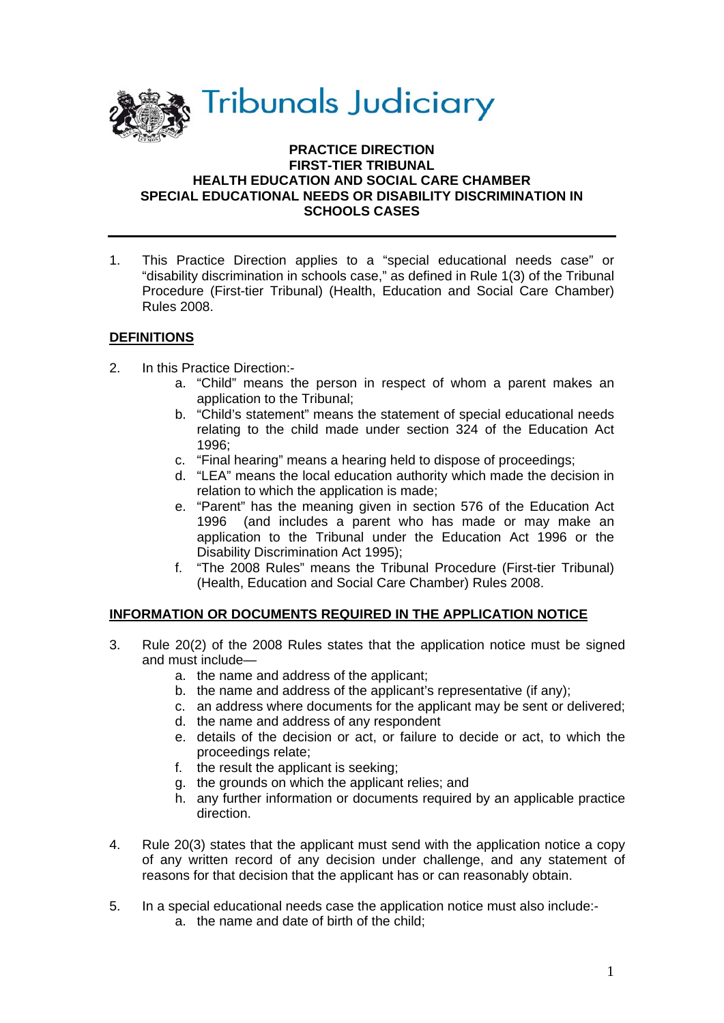

#### **PRACTICE DIRECTION FIRST-TIER TRIBUNAL HEALTH EDUCATION AND SOCIAL CARE CHAMBER SPECIAL EDUCATIONAL NEEDS OR DISABILITY DISCRIMINATION IN SCHOOLS CASES**

1. This Practice Direction applies to a "special educational needs case" or "disability discrimination in schools case," as defined in Rule 1(3) of the Tribunal Procedure (First-tier Tribunal) (Health, Education and Social Care Chamber) Rules 2008.

# **DEFINITIONS**

- 2. In this Practice Direction:
	- a. "Child" means the person in respect of whom a parent makes an application to the Tribunal;
	- b. "Child's statement" means the statement of special educational needs relating to the child made under section 324 of the Education Act 1996;
	- c. "Final hearing" means a hearing held to dispose of proceedings;
	- d. "LEA" means the local education authority which made the decision in relation to which the application is made;
	- e. "Parent" has the meaning given in section 576 of the Education Act 1996 (and includes a parent who has made or may make an application to the Tribunal under the Education Act 1996 or the Disability Discrimination Act 1995);
	- f. "The 2008 Rules" means the Tribunal Procedure (First-tier Tribunal) (Health, Education and Social Care Chamber) Rules 2008.

### **INFORMATION OR DOCUMENTS REQUIRED IN THE APPLICATION NOTICE**

- 3. Rule 20(2) of the 2008 Rules states that the application notice must be signed and must include
	- a. the name and address of the applicant;
	- b. the name and address of the applicant's representative (if any);
	- c. an address where documents for the applicant may be sent or delivered;
	- d. the name and address of any respondent
	- e. details of the decision or act, or failure to decide or act, to which the proceedings relate;
	- f. the result the applicant is seeking;
	- g. the grounds on which the applicant relies; and
	- h. any further information or documents required by an applicable practice direction.
- 4. Rule 20(3) states that the applicant must send with the application notice a copy of any written record of any decision under challenge, and any statement of reasons for that decision that the applicant has or can reasonably obtain.
- 5. In a special educational needs case the application notice must also include:
	- a. the name and date of birth of the child;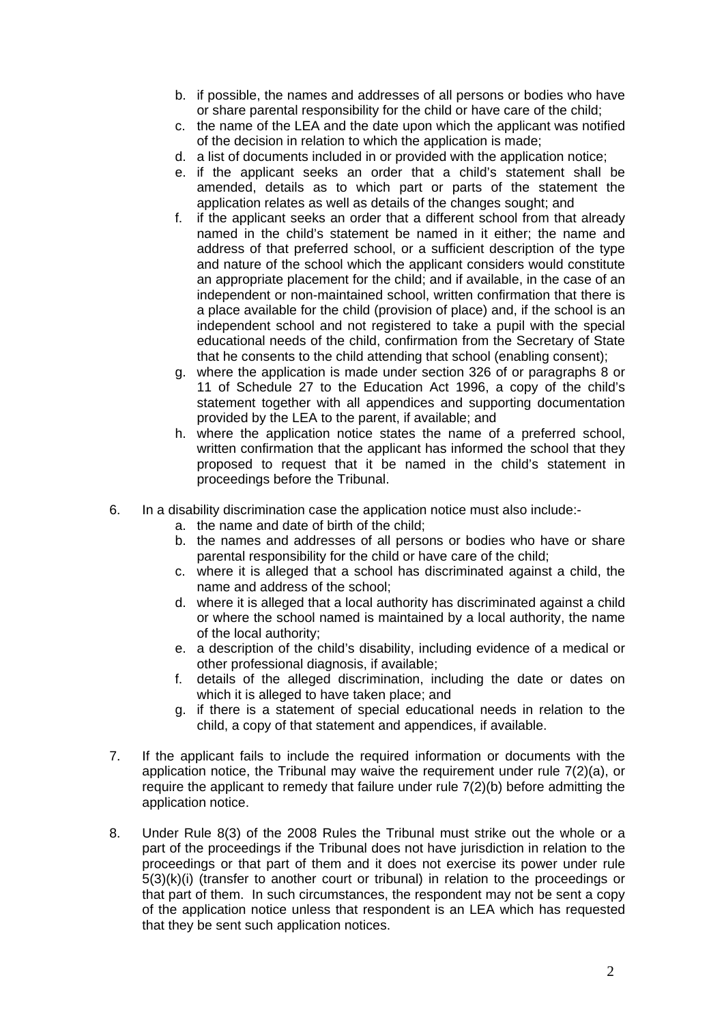- b. if possible, the names and addresses of all persons or bodies who have or share parental responsibility for the child or have care of the child;
- c. the name of the LEA and the date upon which the applicant was notified of the decision in relation to which the application is made;
- d. a list of documents included in or provided with the application notice;
- e. if the applicant seeks an order that a child's statement shall be amended, details as to which part or parts of the statement the application relates as well as details of the changes sought; and
- f. if the applicant seeks an order that a different school from that already named in the child's statement be named in it either; the name and address of that preferred school, or a sufficient description of the type and nature of the school which the applicant considers would constitute an appropriate placement for the child; and if available, in the case of an independent or non-maintained school, written confirmation that there is a place available for the child (provision of place) and, if the school is an independent school and not registered to take a pupil with the special educational needs of the child, confirmation from the Secretary of State that he consents to the child attending that school (enabling consent);
- g. where the application is made under section 326 of or paragraphs 8 or 11 of Schedule 27 to the Education Act 1996, a copy of the child's statement together with all appendices and supporting documentation provided by the LEA to the parent, if available; and
- h. where the application notice states the name of a preferred school, written confirmation that the applicant has informed the school that they proposed to request that it be named in the child's statement in proceedings before the Tribunal.
- 6. In a disability discrimination case the application notice must also include:
	- a. the name and date of birth of the child;
	- b. the names and addresses of all persons or bodies who have or share parental responsibility for the child or have care of the child;
	- c. where it is alleged that a school has discriminated against a child, the name and address of the school;
	- d. where it is alleged that a local authority has discriminated against a child or where the school named is maintained by a local authority, the name of the local authority;
	- e. a description of the child's disability, including evidence of a medical or other professional diagnosis, if available;
	- f. details of the alleged discrimination, including the date or dates on which it is alleged to have taken place; and
	- g. if there is a statement of special educational needs in relation to the child, a copy of that statement and appendices, if available.
- 7. If the applicant fails to include the required information or documents with the application notice, the Tribunal may waive the requirement under rule 7(2)(a), or require the applicant to remedy that failure under rule  $7(2)(b)$  before admitting the application notice.
- 8. Under Rule 8(3) of the 2008 Rules the Tribunal must strike out the whole or a part of the proceedings if the Tribunal does not have jurisdiction in relation to the proceedings or that part of them and it does not exercise its power under rule 5(3)(k)(i) (transfer to another court or tribunal) in relation to the proceedings or that part of them. In such circumstances, the respondent may not be sent a copy of the application notice unless that respondent is an LEA which has requested that they be sent such application notices.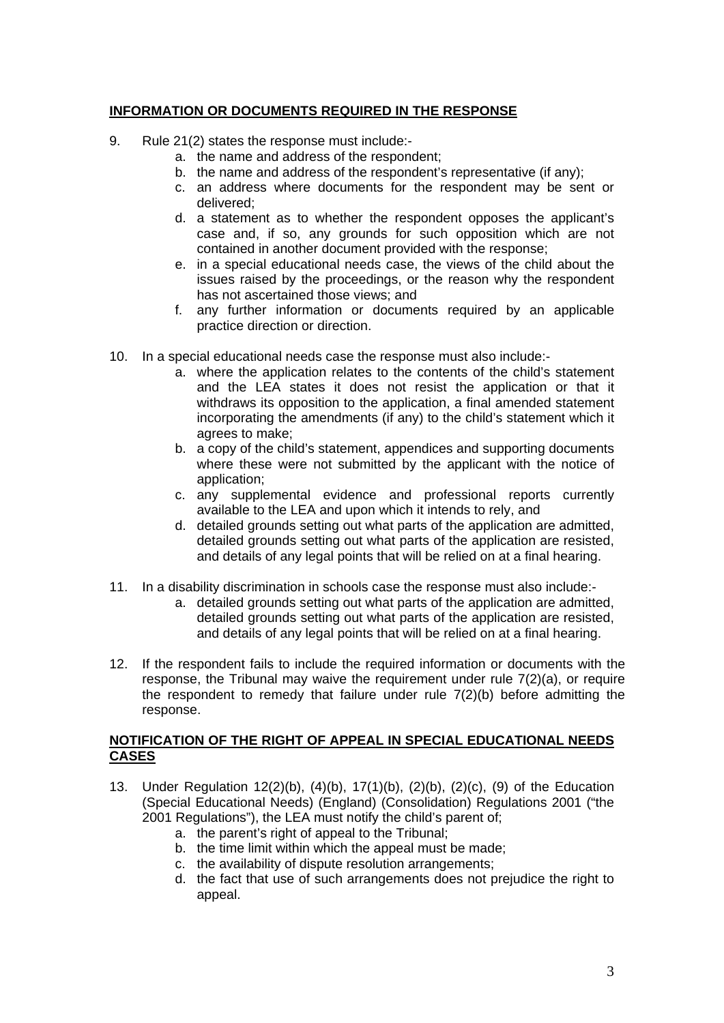# **INFORMATION OR DOCUMENTS REQUIRED IN THE RESPONSE**

- 9. Rule 21(2) states the response must include:
	- a. the name and address of the respondent;
	- b. the name and address of the respondent's representative (if any);
	- c. an address where documents for the respondent may be sent or delivered;
	- d. a statement as to whether the respondent opposes the applicant's case and, if so, any grounds for such opposition which are not contained in another document provided with the response;
	- e. in a special educational needs case, the views of the child about the issues raised by the proceedings, or the reason why the respondent has not ascertained those views; and
	- f. any further information or documents required by an applicable practice direction or direction.
- 10. In a special educational needs case the response must also include:
	- a. where the application relates to the contents of the child's statement and the LEA states it does not resist the application or that it withdraws its opposition to the application, a final amended statement incorporating the amendments (if any) to the child's statement which it agrees to make;
	- b. a copy of the child's statement, appendices and supporting documents where these were not submitted by the applicant with the notice of application;
	- c. any supplemental evidence and professional reports currently available to the LEA and upon which it intends to rely, and
	- d. detailed grounds setting out what parts of the application are admitted, detailed grounds setting out what parts of the application are resisted, and details of any legal points that will be relied on at a final hearing.
- 11. In a disability discrimination in schools case the response must also include:
	- a. detailed grounds setting out what parts of the application are admitted, detailed grounds setting out what parts of the application are resisted, and details of any legal points that will be relied on at a final hearing.
- 12. If the respondent fails to include the required information or documents with the response, the Tribunal may waive the requirement under rule  $7(2)(a)$ , or require the respondent to remedy that failure under rule  $7(2)(b)$  before admitting the response.

### **NOTIFICATION OF THE RIGHT OF APPEAL IN SPECIAL EDUCATIONAL NEEDS CASES**

- 13. Under Regulation 12(2)(b), (4)(b), 17(1)(b), (2)(b), (2)(c), (9) of the Education (Special Educational Needs) (England) (Consolidation) Regulations 2001 ("the 2001 Regulations"), the LEA must notify the child's parent of;
	- a. the parent's right of appeal to the Tribunal;
	- b. the time limit within which the appeal must be made;
	- c. the availability of dispute resolution arrangements;
	- d. the fact that use of such arrangements does not prejudice the right to appeal.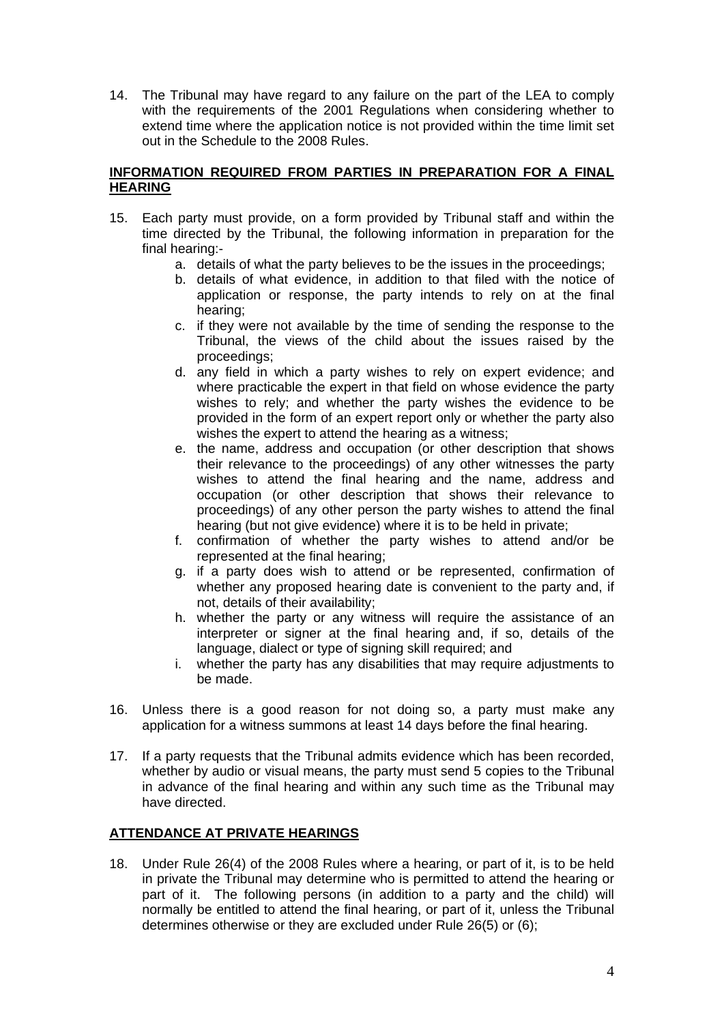14. The Tribunal may have regard to any failure on the part of the LEA to comply with the requirements of the 2001 Regulations when considering whether to extend time where the application notice is not provided within the time limit set out in the Schedule to the 2008 Rules.

### **INFORMATION REQUIRED FROM PARTIES IN PREPARATION FOR A FINAL HEARING**

- 15. Each party must provide, on a form provided by Tribunal staff and within the time directed by the Tribunal, the following information in preparation for the final hearing:
	- a. details of what the party believes to be the issues in the proceedings;
	- b. details of what evidence, in addition to that filed with the notice of application or response, the party intends to rely on at the final hearing;
	- c. if they were not available by the time of sending the response to the Tribunal, the views of the child about the issues raised by the proceedings;
	- d. any field in which a party wishes to rely on expert evidence; and where practicable the expert in that field on whose evidence the party wishes to rely; and whether the party wishes the evidence to be provided in the form of an expert report only or whether the party also wishes the expert to attend the hearing as a witness;
	- e. the name, address and occupation (or other description that shows their relevance to the proceedings) of any other witnesses the party wishes to attend the final hearing and the name, address and occupation (or other description that shows their relevance to proceedings) of any other person the party wishes to attend the final hearing (but not give evidence) where it is to be held in private;
	- f. confirmation of whether the party wishes to attend and/or be represented at the final hearing;
	- g. if a party does wish to attend or be represented, confirmation of whether any proposed hearing date is convenient to the party and, if not, details of their availability;
	- h. whether the party or any witness will require the assistance of an interpreter or signer at the final hearing and, if so, details of the language, dialect or type of signing skill required; and
	- i. whether the party has any disabilities that may require adjustments to be made.
- 16. Unless there is a good reason for not doing so, a party must make any application for a witness summons at least 14 days before the final hearing.
- 17. If a party requests that the Tribunal admits evidence which has been recorded, whether by audio or visual means, the party must send 5 copies to the Tribunal in advance of the final hearing and within any such time as the Tribunal may have directed.

# **ATTENDANCE AT PRIVATE HEARINGS**

18. Under Rule 26(4) of the 2008 Rules where a hearing, or part of it, is to be held in private the Tribunal may determine who is permitted to attend the hearing or part of it. The following persons (in addition to a party and the child) will normally be entitled to attend the final hearing, or part of it, unless the Tribunal determines otherwise or they are excluded under Rule 26(5) or (6);